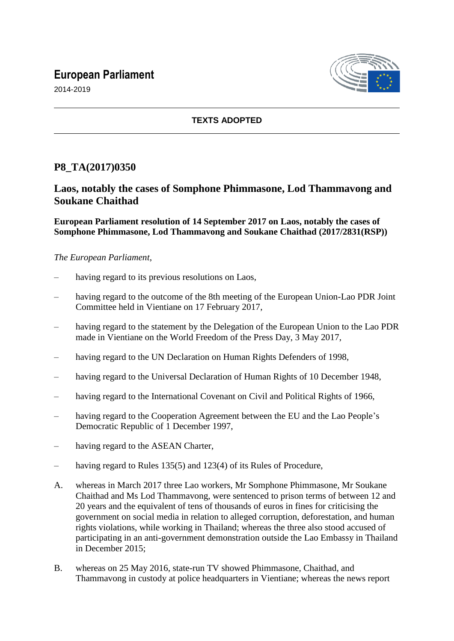# **European Parliament**



2014-2019

### **TEXTS ADOPTED**

## **P8\_TA(2017)0350**

## **Laos, notably the cases of Somphone Phimmasone, Lod Thammavong and Soukane Chaithad**

**European Parliament resolution of 14 September 2017 on Laos, notably the cases of Somphone Phimmasone, Lod Thammavong and Soukane Chaithad (2017/2831(RSP))**

#### *The European Parliament*,

- having regard to its previous resolutions on Laos,
- having regard to the outcome of the 8th meeting of the European Union-Lao PDR Joint Committee held in Vientiane on 17 February 2017,
- having regard to the statement by the Delegation of the European Union to the Lao PDR made in Vientiane on the World Freedom of the Press Day, 3 May 2017,
- having regard to the UN Declaration on Human Rights Defenders of 1998,
- having regard to the Universal Declaration of Human Rights of 10 December 1948,
- having regard to the International Covenant on Civil and Political Rights of 1966.
- having regard to the Cooperation Agreement between the EU and the Lao People's Democratic Republic of 1 December 1997,
- having regard to the ASEAN Charter,
- having regard to Rules 135(5) and 123(4) of its Rules of Procedure,
- A. whereas in March 2017 three Lao workers, Mr Somphone Phimmasone, Mr Soukane Chaithad and Ms Lod Thammavong, were sentenced to prison terms of between 12 and 20 years and the equivalent of tens of thousands of euros in fines for criticising the government on social media in relation to alleged corruption, deforestation, and human rights violations, while working in Thailand; whereas the three also stood accused of participating in an anti-government demonstration outside the Lao Embassy in Thailand in December 2015;
- B. whereas on 25 May 2016, state-run TV showed Phimmasone, Chaithad, and Thammavong in custody at police headquarters in Vientiane; whereas the news report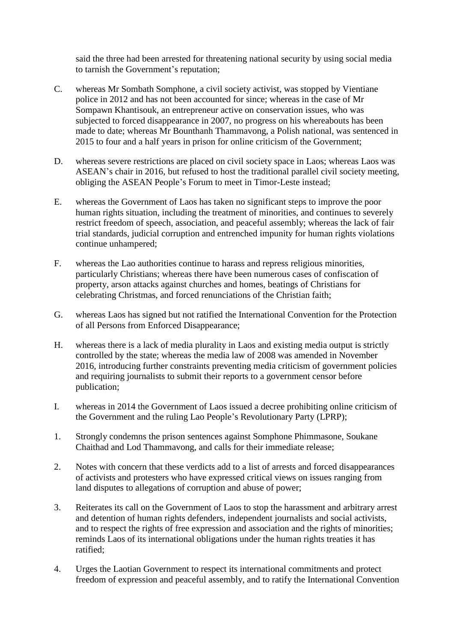said the three had been arrested for threatening national security by using social media to tarnish the Government's reputation;

- C. whereas Mr Sombath Somphone, a civil society activist, was stopped by Vientiane police in 2012 and has not been accounted for since; whereas in the case of Mr Sompawn Khantisouk, an entrepreneur active on conservation issues, who was subjected to forced disappearance in 2007, no progress on his whereabouts has been made to date; whereas Mr Bounthanh Thammavong, a Polish national, was sentenced in 2015 to four and a half years in prison for online criticism of the Government;
- D. whereas severe restrictions are placed on civil society space in Laos; whereas Laos was ASEAN's chair in 2016, but refused to host the traditional parallel civil society meeting, obliging the ASEAN People's Forum to meet in Timor-Leste instead;
- E. whereas the Government of Laos has taken no significant steps to improve the poor human rights situation, including the treatment of minorities, and continues to severely restrict freedom of speech, association, and peaceful assembly; whereas the lack of fair trial standards, judicial corruption and entrenched impunity for human rights violations continue unhampered;
- F. whereas the Lao authorities continue to harass and repress religious minorities, particularly Christians; whereas there have been numerous cases of confiscation of property, arson attacks against churches and homes, beatings of Christians for celebrating Christmas, and forced renunciations of the Christian faith;
- G. whereas Laos has signed but not ratified the International Convention for the Protection of all Persons from Enforced Disappearance;
- H. whereas there is a lack of media plurality in Laos and existing media output is strictly controlled by the state; whereas the media law of 2008 was amended in November 2016, introducing further constraints preventing media criticism of government policies and requiring journalists to submit their reports to a government censor before publication;
- I. whereas in 2014 the Government of Laos issued a decree prohibiting online criticism of the Government and the ruling Lao People's Revolutionary Party (LPRP);
- 1. Strongly condemns the prison sentences against Somphone Phimmasone, Soukane Chaithad and Lod Thammavong, and calls for their immediate release;
- 2. Notes with concern that these verdicts add to a list of arrests and forced disappearances of activists and protesters who have expressed critical views on issues ranging from land disputes to allegations of corruption and abuse of power;
- 3. Reiterates its call on the Government of Laos to stop the harassment and arbitrary arrest and detention of human rights defenders, independent journalists and social activists, and to respect the rights of free expression and association and the rights of minorities; reminds Laos of its international obligations under the human rights treaties it has ratified;
- 4. Urges the Laotian Government to respect its international commitments and protect freedom of expression and peaceful assembly, and to ratify the International Convention